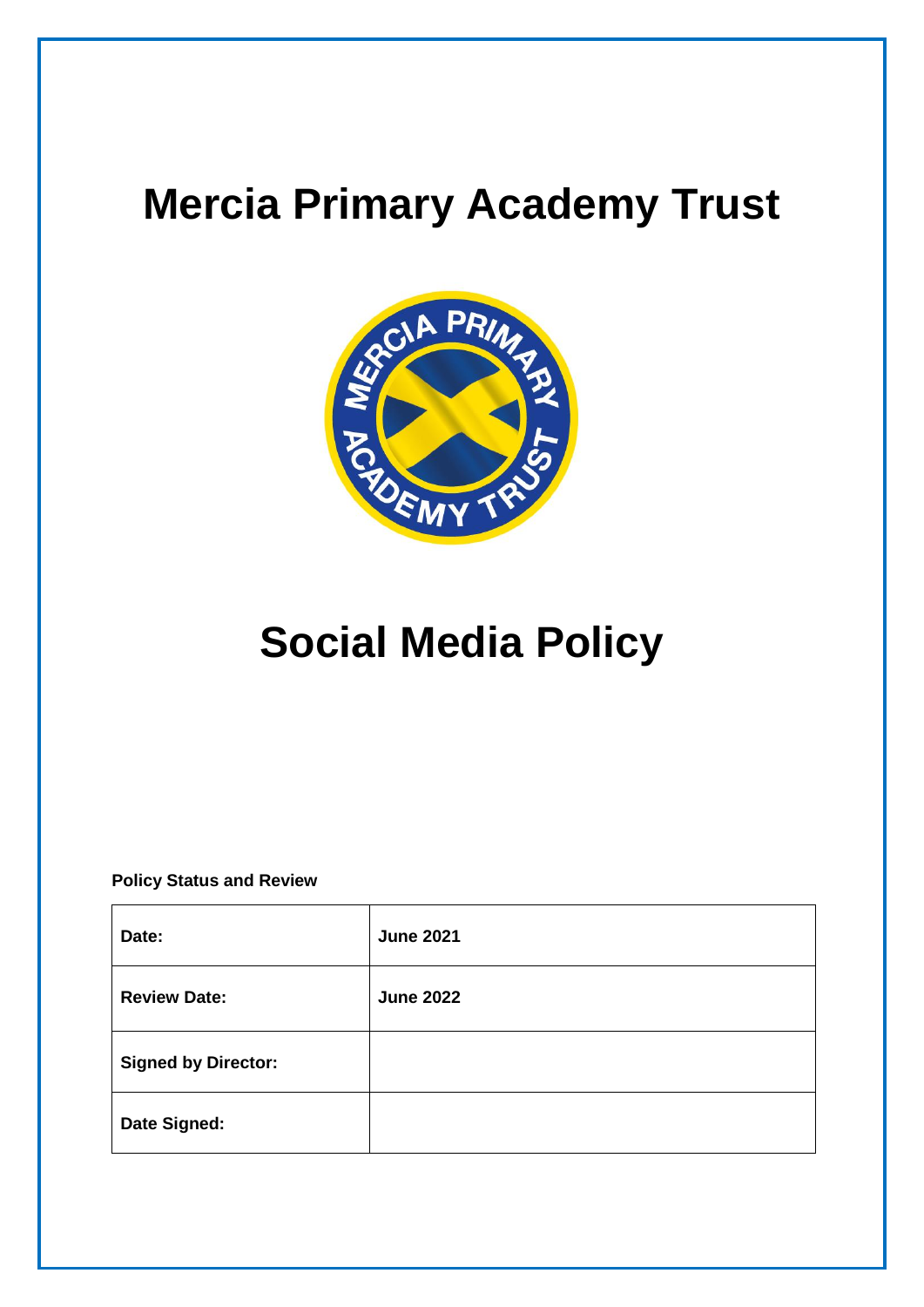## **Mercia Primary Academy Trust**



# **Social Media Policy**

**Policy Status and Review**

| Date:                      | <b>June 2021</b> |
|----------------------------|------------------|
| <b>Review Date:</b>        | <b>June 2022</b> |
| <b>Signed by Director:</b> |                  |
| Date Signed:               |                  |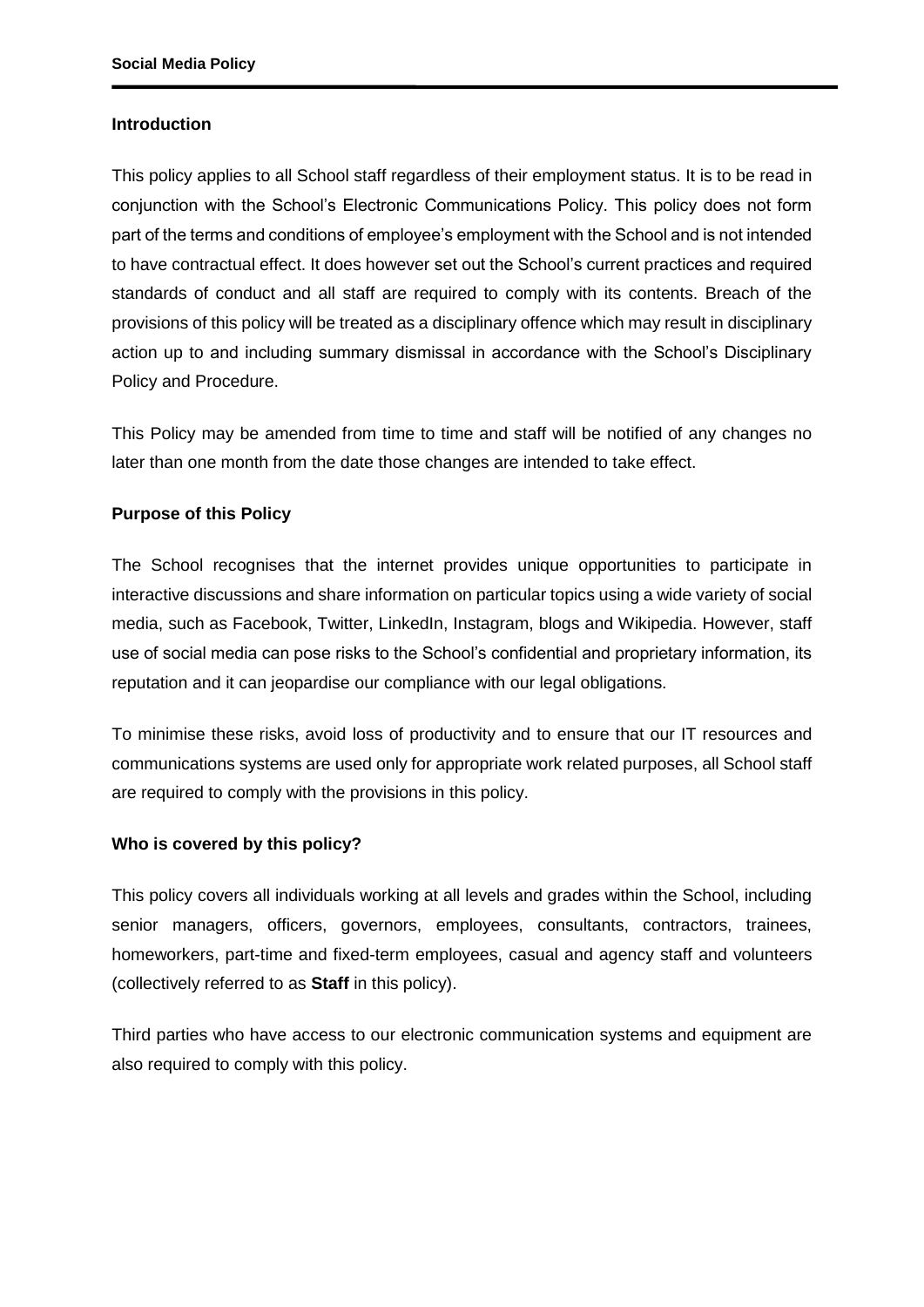#### **Introduction**

This policy applies to all School staff regardless of their employment status. It is to be read in conjunction with the School's Electronic Communications Policy. This policy does not form part of the terms and conditions of employee's employment with the School and is not intended to have contractual effect. It does however set out the School's current practices and required standards of conduct and all staff are required to comply with its contents. Breach of the provisions of this policy will be treated as a disciplinary offence which may result in disciplinary action up to and including summary dismissal in accordance with the School's Disciplinary Policy and Procedure.

This Policy may be amended from time to time and staff will be notified of any changes no later than one month from the date those changes are intended to take effect.

#### **Purpose of this Policy**

The School recognises that the internet provides unique opportunities to participate in interactive discussions and share information on particular topics using a wide variety of social media, such as Facebook, Twitter, LinkedIn, Instagram, blogs and Wikipedia. However, staff use of social media can pose risks to the School's confidential and proprietary information, its reputation and it can jeopardise our compliance with our legal obligations.

To minimise these risks, avoid loss of productivity and to ensure that our IT resources and communications systems are used only for appropriate work related purposes, all School staff are required to comply with the provisions in this policy.

#### **Who is covered by this policy?**

This policy covers all individuals working at all levels and grades within the School, including senior managers, officers, governors, employees, consultants, contractors, trainees, homeworkers, part-time and fixed-term employees, casual and agency staff and volunteers (collectively referred to as **Staff** in this policy).

Third parties who have access to our electronic communication systems and equipment are also required to comply with this policy.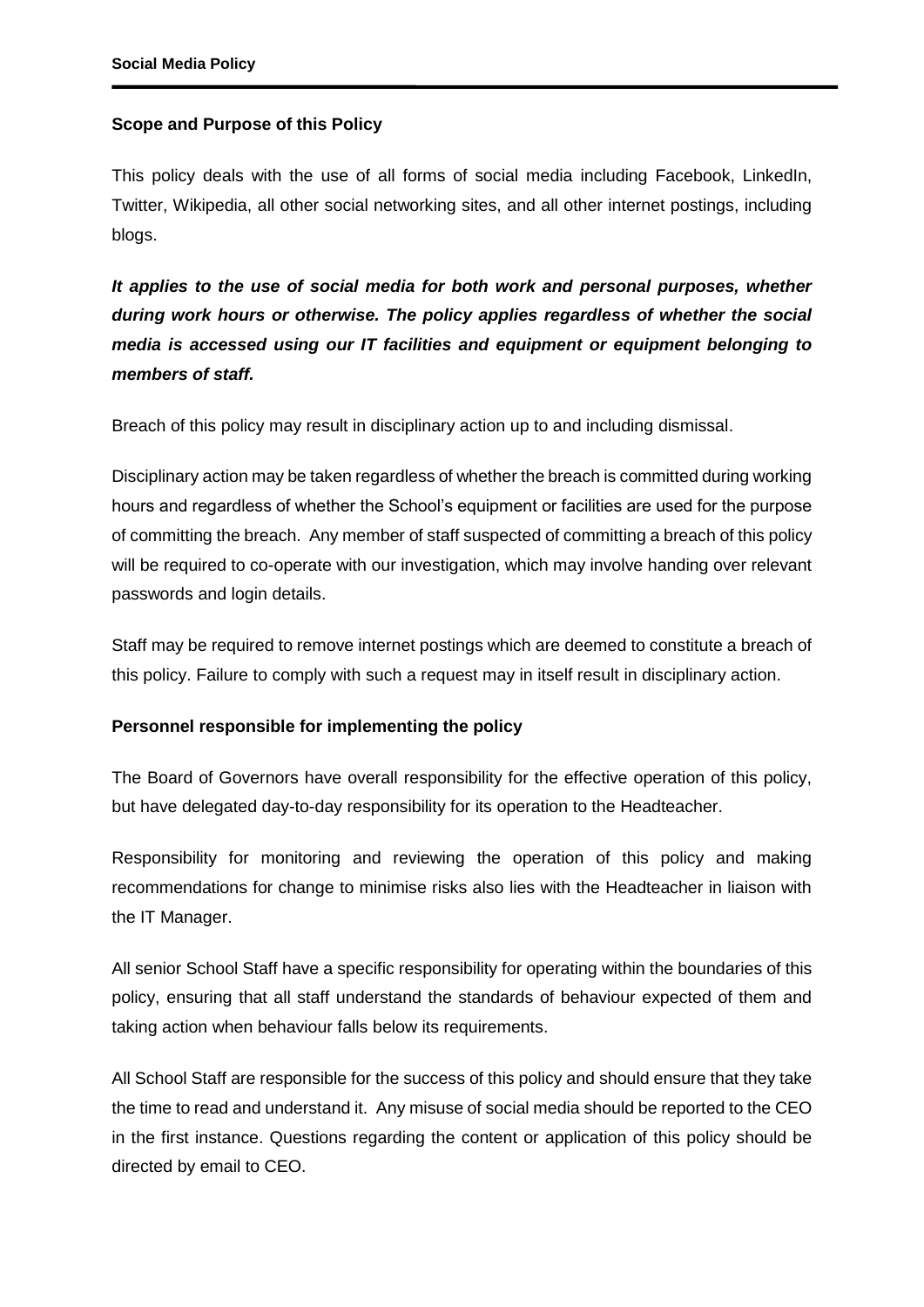## **Scope and Purpose of this Policy**

This policy deals with the use of all forms of social media including Facebook, LinkedIn, Twitter, Wikipedia, all other social networking sites, and all other internet postings, including blogs.

*It applies to the use of social media for both work and personal purposes, whether during work hours or otherwise. The policy applies regardless of whether the social media is accessed using our IT facilities and equipment or equipment belonging to members of staff.*

Breach of this policy may result in disciplinary action up to and including dismissal.

Disciplinary action may be taken regardless of whether the breach is committed during working hours and regardless of whether the School's equipment or facilities are used for the purpose of committing the breach. Any member of staff suspected of committing a breach of this policy will be required to co-operate with our investigation, which may involve handing over relevant passwords and login details.

Staff may be required to remove internet postings which are deemed to constitute a breach of this policy. Failure to comply with such a request may in itself result in disciplinary action.

#### **Personnel responsible for implementing the policy**

The Board of Governors have overall responsibility for the effective operation of this policy, but have delegated day-to-day responsibility for its operation to the Headteacher.

Responsibility for monitoring and reviewing the operation of this policy and making recommendations for change to minimise risks also lies with the Headteacher in liaison with the IT Manager.

All senior School Staff have a specific responsibility for operating within the boundaries of this policy, ensuring that all staff understand the standards of behaviour expected of them and taking action when behaviour falls below its requirements.

All School Staff are responsible for the success of this policy and should ensure that they take the time to read and understand it. Any misuse of social media should be reported to the CEO in the first instance. Questions regarding the content or application of this policy should be directed by email to CEO.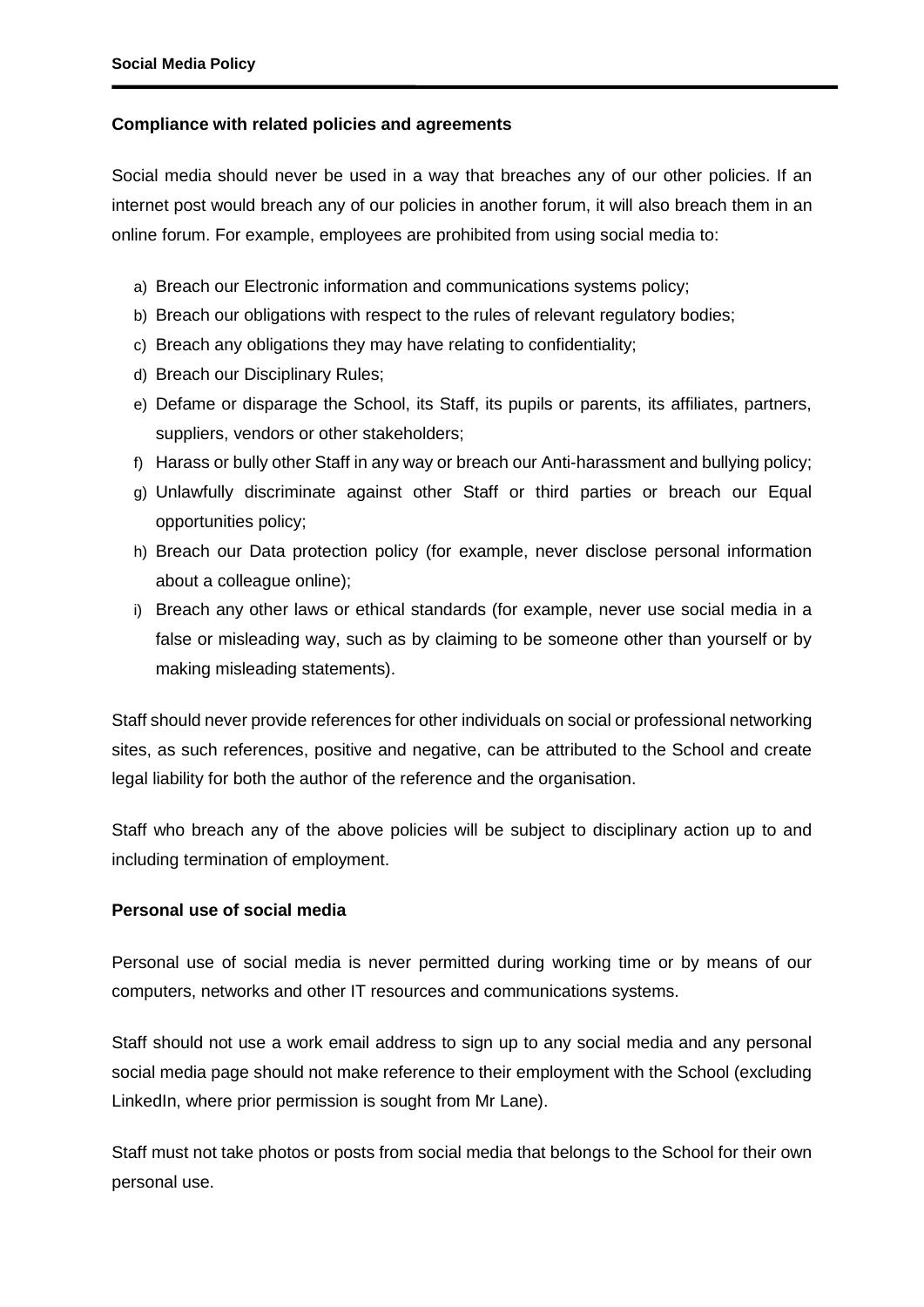## **Compliance with related policies and agreements**

Social media should never be used in a way that breaches any of our other policies. If an internet post would breach any of our policies in another forum, it will also breach them in an online forum. For example, employees are prohibited from using social media to:

- a) Breach our Electronic information and communications systems policy;
- b) Breach our obligations with respect to the rules of relevant regulatory bodies;
- c) Breach any obligations they may have relating to confidentiality;
- d) Breach our Disciplinary Rules;
- e) Defame or disparage the School, its Staff, its pupils or parents, its affiliates, partners, suppliers, vendors or other stakeholders;
- f) Harass or bully other Staff in any way or breach our Anti-harassment and bullying policy;
- g) Unlawfully discriminate against other Staff or third parties or breach our Equal opportunities policy;
- h) Breach our Data protection policy (for example, never disclose personal information about a colleague online);
- i) Breach any other laws or ethical standards (for example, never use social media in a false or misleading way, such as by claiming to be someone other than yourself or by making misleading statements).

Staff should never provide references for other individuals on social or professional networking sites, as such references, positive and negative, can be attributed to the School and create legal liability for both the author of the reference and the organisation.

Staff who breach any of the above policies will be subject to disciplinary action up to and including termination of employment.

## **Personal use of social media**

Personal use of social media is never permitted during working time or by means of our computers, networks and other IT resources and communications systems.

Staff should not use a work email address to sign up to any social media and any personal social media page should not make reference to their employment with the School (excluding LinkedIn, where prior permission is sought from Mr Lane).

Staff must not take photos or posts from social media that belongs to the School for their own personal use.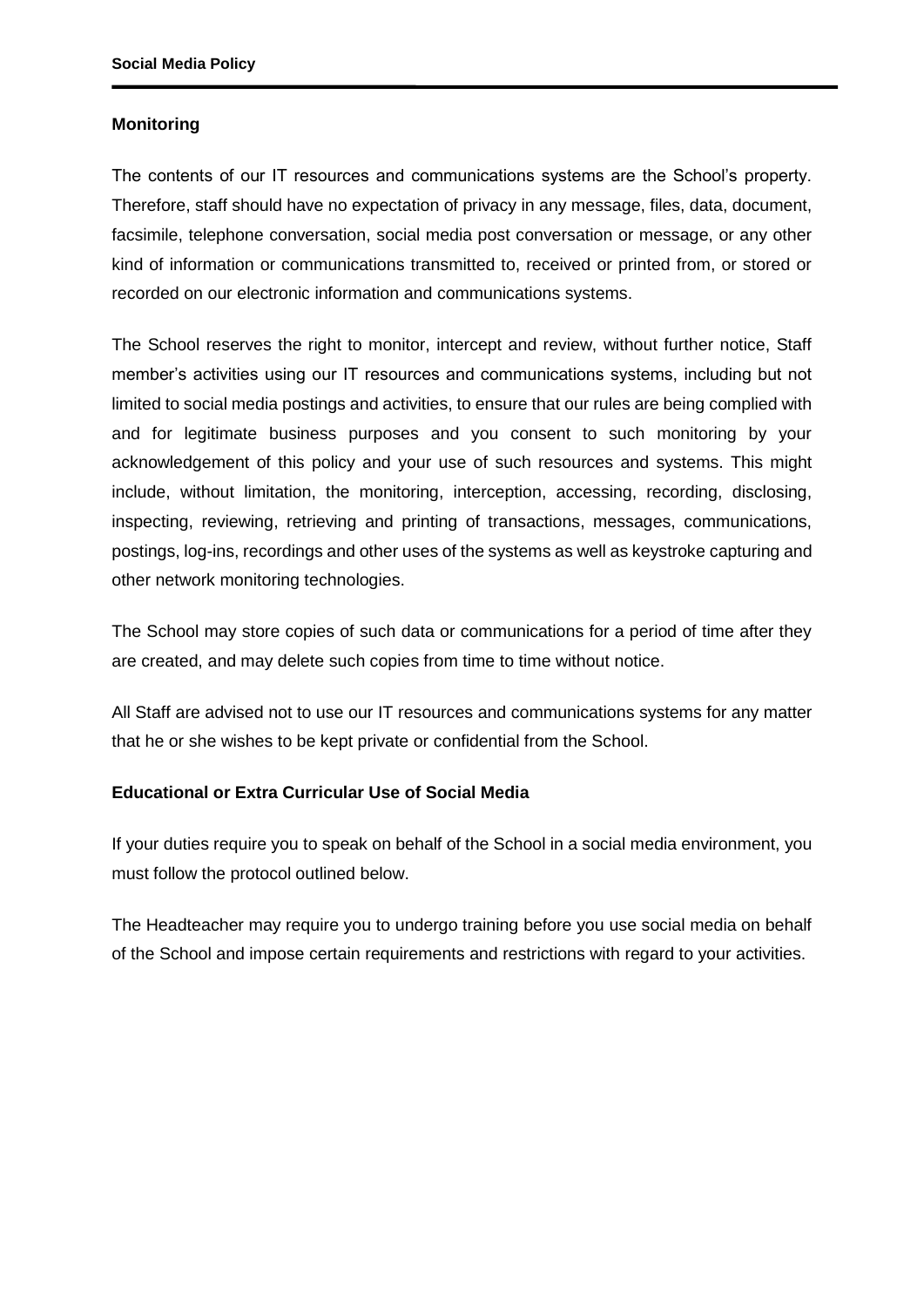#### **Monitoring**

The contents of our IT resources and communications systems are the School's property. Therefore, staff should have no expectation of privacy in any message, files, data, document, facsimile, telephone conversation, social media post conversation or message, or any other kind of information or communications transmitted to, received or printed from, or stored or recorded on our electronic information and communications systems.

The School reserves the right to monitor, intercept and review, without further notice, Staff member's activities using our IT resources and communications systems, including but not limited to social media postings and activities, to ensure that our rules are being complied with and for legitimate business purposes and you consent to such monitoring by your acknowledgement of this policy and your use of such resources and systems. This might include, without limitation, the monitoring, interception, accessing, recording, disclosing, inspecting, reviewing, retrieving and printing of transactions, messages, communications, postings, log-ins, recordings and other uses of the systems as well as keystroke capturing and other network monitoring technologies.

The School may store copies of such data or communications for a period of time after they are created, and may delete such copies from time to time without notice.

All Staff are advised not to use our IT resources and communications systems for any matter that he or she wishes to be kept private or confidential from the School.

#### **Educational or Extra Curricular Use of Social Media**

If your duties require you to speak on behalf of the School in a social media environment, you must follow the protocol outlined below.

The Headteacher may require you to undergo training before you use social media on behalf of the School and impose certain requirements and restrictions with regard to your activities.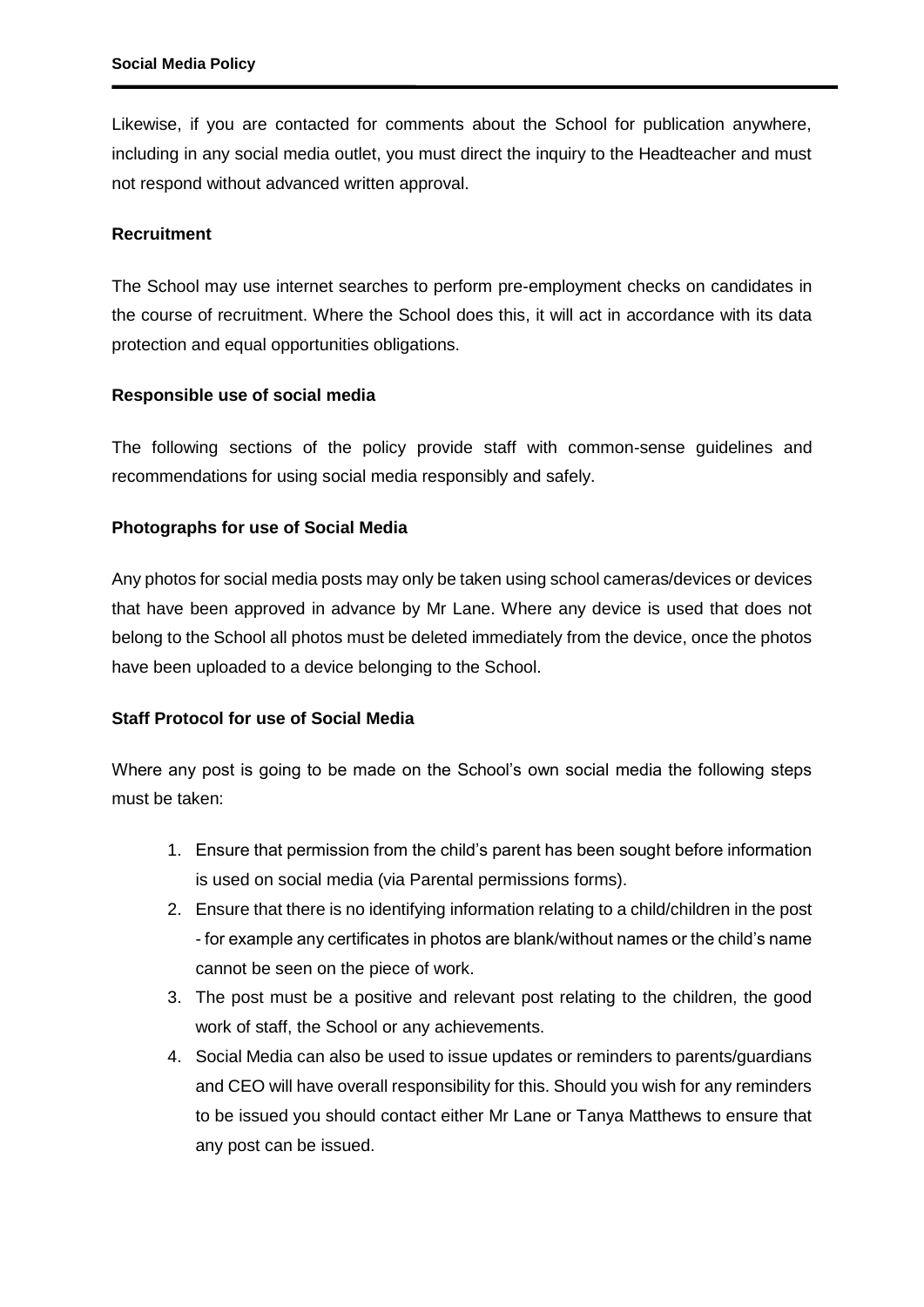Likewise, if you are contacted for comments about the School for publication anywhere, including in any social media outlet, you must direct the inquiry to the Headteacher and must not respond without advanced written approval.

## **Recruitment**

The School may use internet searches to perform pre-employment checks on candidates in the course of recruitment. Where the School does this, it will act in accordance with its data protection and equal opportunities obligations.

## **Responsible use of social media**

The following sections of the policy provide staff with common-sense guidelines and recommendations for using social media responsibly and safely.

## **Photographs for use of Social Media**

Any photos for social media posts may only be taken using school cameras/devices or devices that have been approved in advance by Mr Lane. Where any device is used that does not belong to the School all photos must be deleted immediately from the device, once the photos have been uploaded to a device belonging to the School.

## **Staff Protocol for use of Social Media**

Where any post is going to be made on the School's own social media the following steps must be taken:

- 1. Ensure that permission from the child's parent has been sought before information is used on social media (via Parental permissions forms).
- 2. Ensure that there is no identifying information relating to a child/children in the post - for example any certificates in photos are blank/without names or the child's name cannot be seen on the piece of work.
- 3. The post must be a positive and relevant post relating to the children, the good work of staff, the School or any achievements.
- 4. Social Media can also be used to issue updates or reminders to parents/guardians and CEO will have overall responsibility for this. Should you wish for any reminders to be issued you should contact either Mr Lane or Tanya Matthews to ensure that any post can be issued.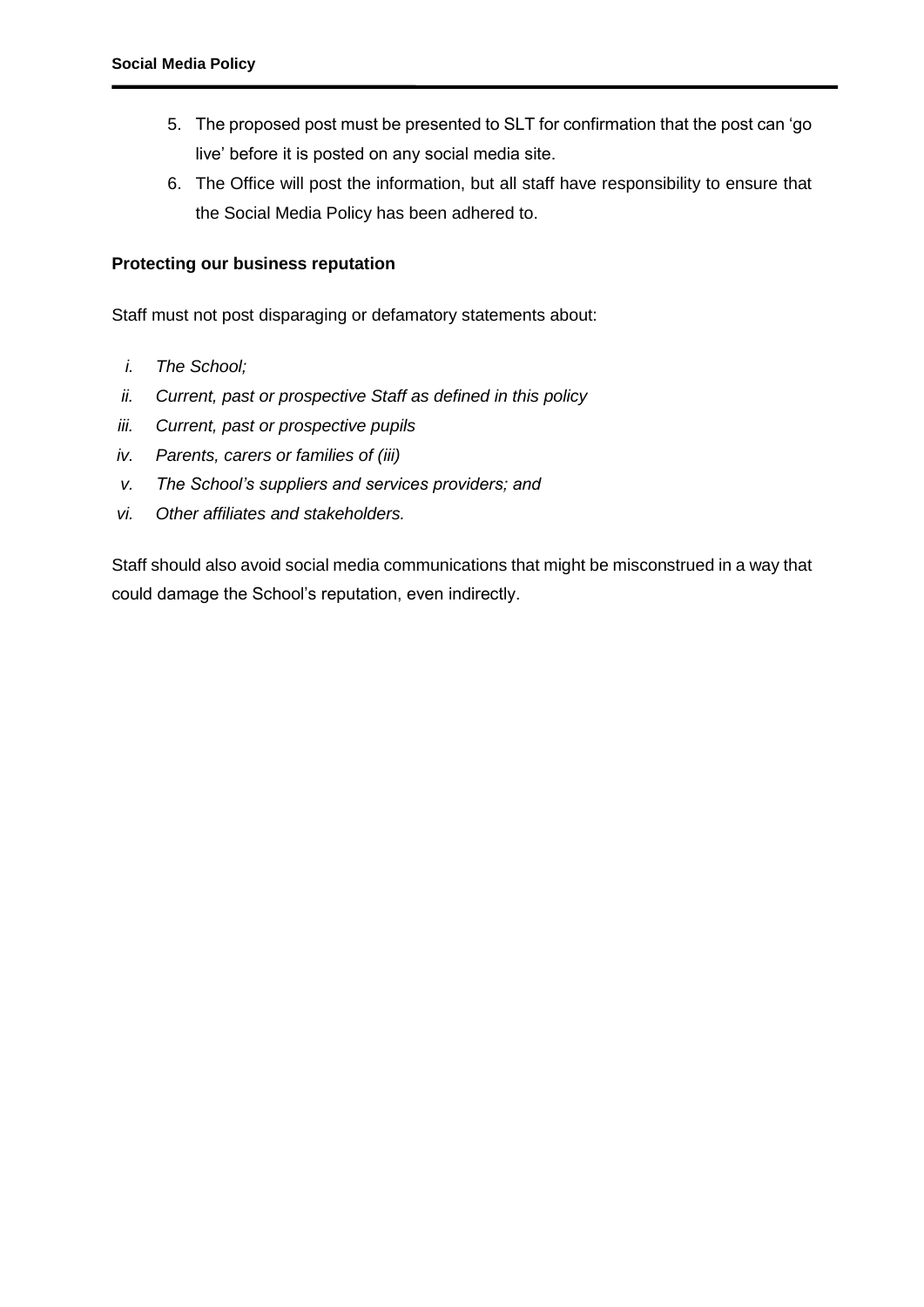- 5. The proposed post must be presented to SLT for confirmation that the post can 'go live' before it is posted on any social media site.
- 6. The Office will post the information, but all staff have responsibility to ensure that the Social Media Policy has been adhered to.

## **Protecting our business reputation**

Staff must not post disparaging or defamatory statements about:

- *i. The School;*
- *ii. Current, past or prospective Staff as defined in this policy*
- *iii. Current, past or prospective pupils*
- *iv. Parents, carers or families of (iii)*
- *v. The School's suppliers and services providers; and*
- *vi. Other affiliates and stakeholders.*

Staff should also avoid social media communications that might be misconstrued in a way that could damage the School's reputation, even indirectly.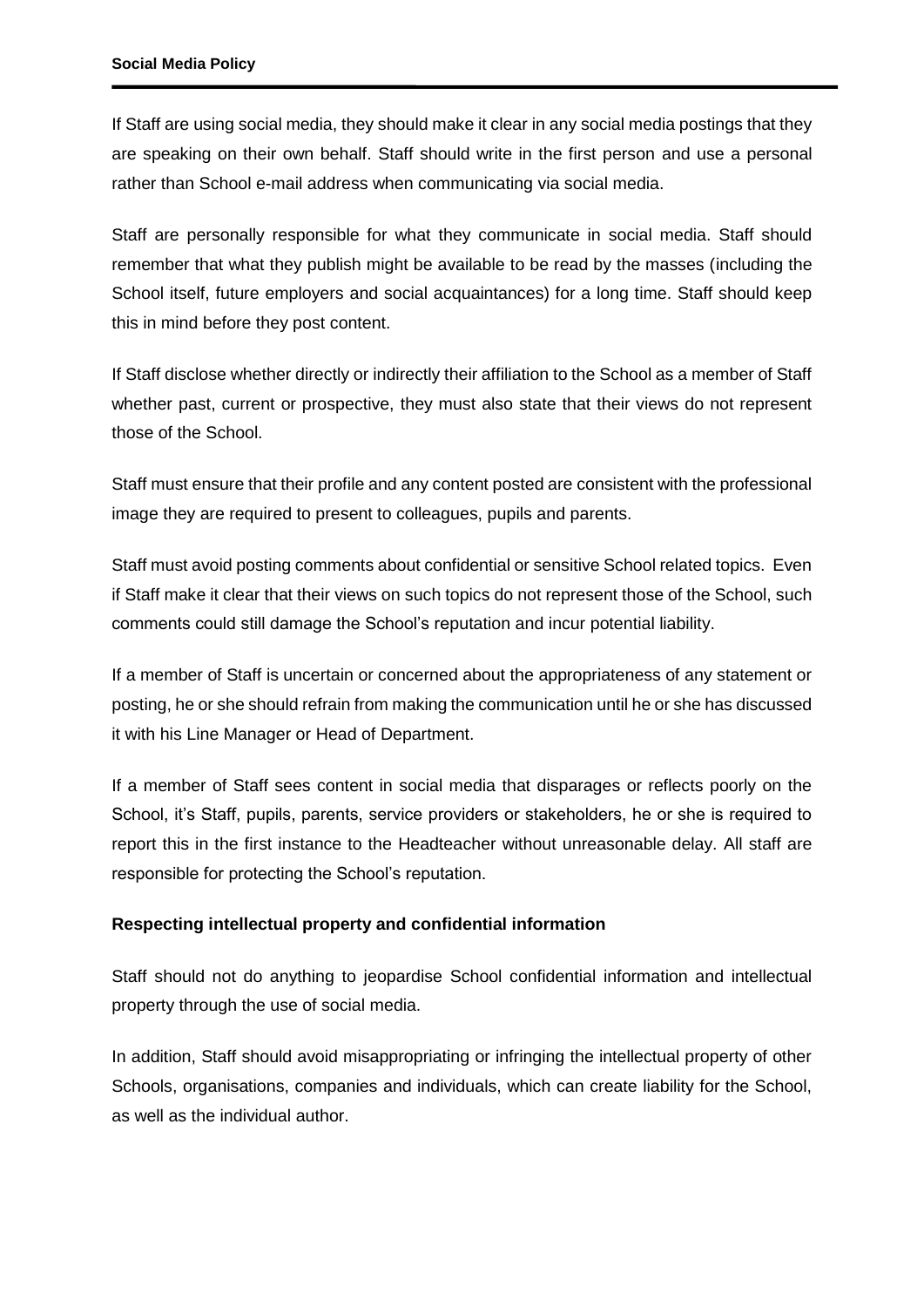If Staff are using social media, they should make it clear in any social media postings that they are speaking on their own behalf. Staff should write in the first person and use a personal rather than School e-mail address when communicating via social media.

Staff are personally responsible for what they communicate in social media. Staff should remember that what they publish might be available to be read by the masses (including the School itself, future employers and social acquaintances) for a long time. Staff should keep this in mind before they post content.

If Staff disclose whether directly or indirectly their affiliation to the School as a member of Staff whether past, current or prospective, they must also state that their views do not represent those of the School.

Staff must ensure that their profile and any content posted are consistent with the professional image they are required to present to colleagues, pupils and parents.

Staff must avoid posting comments about confidential or sensitive School related topics. Even if Staff make it clear that their views on such topics do not represent those of the School, such comments could still damage the School's reputation and incur potential liability.

If a member of Staff is uncertain or concerned about the appropriateness of any statement or posting, he or she should refrain from making the communication until he or she has discussed it with his Line Manager or Head of Department.

If a member of Staff sees content in social media that disparages or reflects poorly on the School, it's Staff, pupils, parents, service providers or stakeholders, he or she is required to report this in the first instance to the Headteacher without unreasonable delay. All staff are responsible for protecting the School's reputation.

#### **Respecting intellectual property and confidential information**

Staff should not do anything to jeopardise School confidential information and intellectual property through the use of social media.

In addition, Staff should avoid misappropriating or infringing the intellectual property of other Schools, organisations, companies and individuals, which can create liability for the School, as well as the individual author.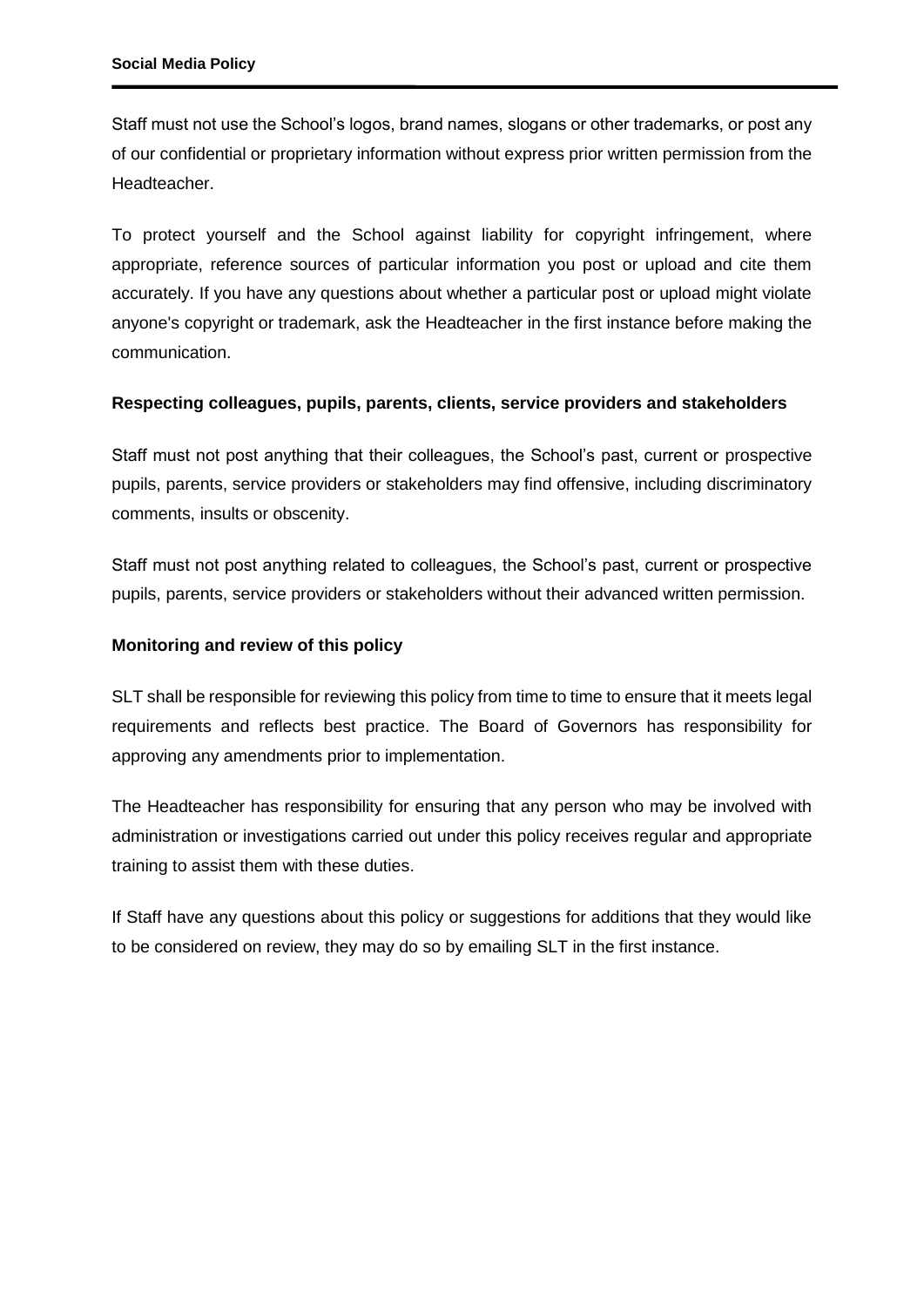Staff must not use the School's logos, brand names, slogans or other trademarks, or post any of our confidential or proprietary information without express prior written permission from the Headteacher.

To protect yourself and the School against liability for copyright infringement, where appropriate, reference sources of particular information you post or upload and cite them accurately. If you have any questions about whether a particular post or upload might violate anyone's copyright or trademark, ask the Headteacher in the first instance before making the communication.

## **Respecting colleagues, pupils, parents, clients, service providers and stakeholders**

Staff must not post anything that their colleagues, the School's past, current or prospective pupils, parents, service providers or stakeholders may find offensive, including discriminatory comments, insults or obscenity.

Staff must not post anything related to colleagues, the School's past, current or prospective pupils, parents, service providers or stakeholders without their advanced written permission.

## **Monitoring and review of this policy**

SLT shall be responsible for reviewing this policy from time to time to ensure that it meets legal requirements and reflects best practice. The Board of Governors has responsibility for approving any amendments prior to implementation.

The Headteacher has responsibility for ensuring that any person who may be involved with administration or investigations carried out under this policy receives regular and appropriate training to assist them with these duties.

If Staff have any questions about this policy or suggestions for additions that they would like to be considered on review, they may do so by emailing SLT in the first instance.